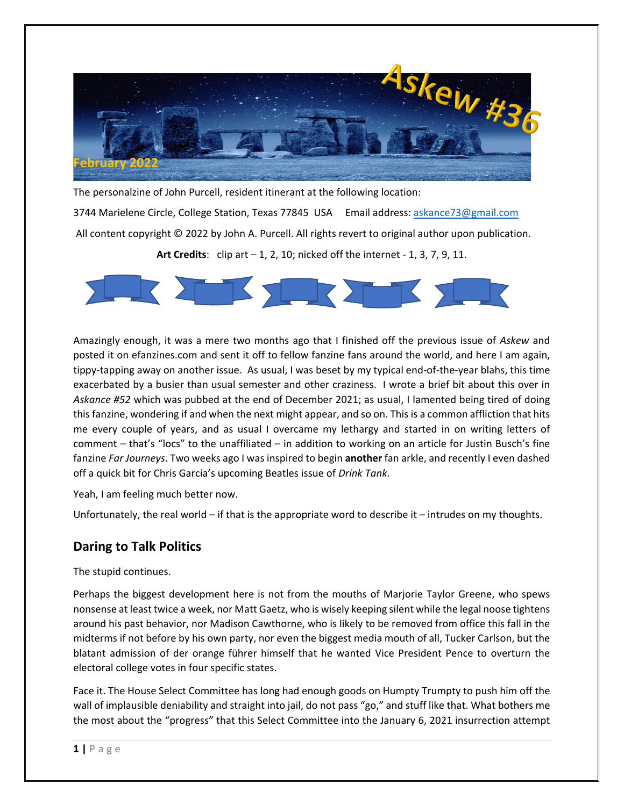

The personalzine of John Purcell, resident itinerant at the following location:

3744 Marielene Circle, College Station, Texas 77845 USA Email address: askance73@gmail.com All content copyright © 2022 by John A. Purcell. All rights revert to original author upon publication. **Art Credits**: clip art – 1, 2, 10; nicked off the internet - 1, 3, 7, 9, 11.



Amazingly enough, it was a mere two months ago that I finished off the previous issue of *Askew* and posted it on efanzines.com and sent it off to fellow fanzine fans around the world, and here I am again, tippy-tapping away on another issue. As usual, I was beset by my typical end-of-the-year blahs, this time exacerbated by a busier than usual semester and other craziness. I wrote a brief bit about this over in *Askance #52* which was pubbed at the end of December 2021; as usual, I lamented being tired of doing this fanzine, wondering if and when the next might appear, and so on. This is a common affliction that hits me every couple of years, and as usual I overcame my lethargy and started in on writing letters of comment – that's "locs" to the unaffiliated – in addition to working on an article for Justin Busch's fine fanzine *Far Journeys*. Two weeks ago I was inspired to begin **another** fan arkle, and recently I even dashed off a quick bit for Chris Garcia's upcoming Beatles issue of *Drink Tank*.

Yeah, I am feeling much better now.

Unfortunately, the real world – if that is the appropriate word to describe it – intrudes on my thoughts.

### **Daring to Talk Politics**

The stupid continues.

Perhaps the biggest development here is not from the mouths of Marjorie Taylor Greene, who spews nonsense at least twice a week, nor Matt Gaetz, who is wisely keeping silent while the legal noose tightens around his past behavior, nor Madison Cawthorne, who is likely to be removed from office this fall in the midterms if not before by his own party, nor even the biggest media mouth of all, Tucker Carlson, but the blatant admission of der orange führer himself that he wanted Vice President Pence to overturn the electoral college votes in four specific states.

Face it. The House Select Committee has long had enough goods on Humpty Trumpty to push him off the wall of implausible deniability and straight into jail, do not pass "go," and stuff like that. What bothers me the most about the "progress" that this Select Committee into the January 6, 2021 insurrection attempt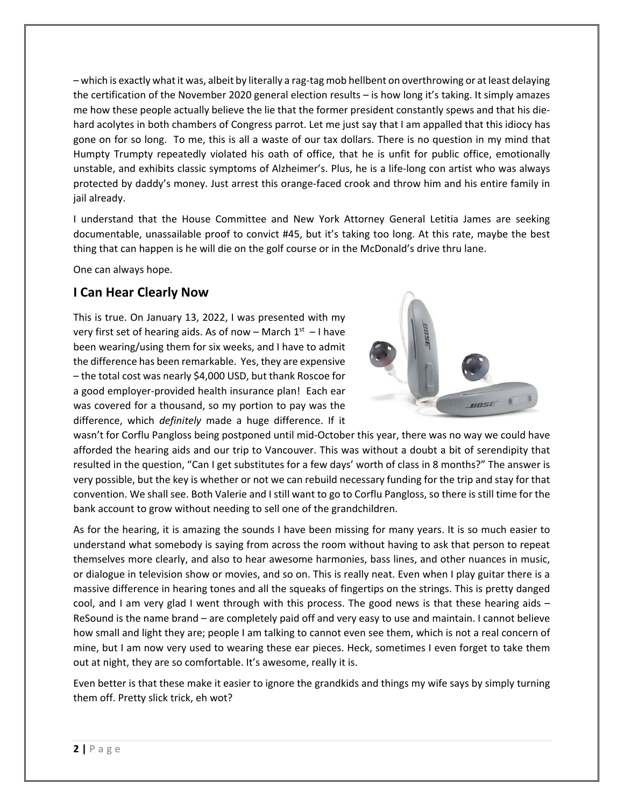– which is exactly what it was, albeit by literally a rag-tag mob hellbent on overthrowing or at least delaying the certification of the November 2020 general election results – is how long it's taking. It simply amazes me how these people actually believe the lie that the former president constantly spews and that his diehard acolytes in both chambers of Congress parrot. Let me just say that I am appalled that this idiocy has gone on for so long. To me, this is all a waste of our tax dollars. There is no question in my mind that Humpty Trumpty repeatedly violated his oath of office, that he is unfit for public office, emotionally unstable, and exhibits classic symptoms of Alzheimer's. Plus, he is a life-long con artist who was always protected by daddy's money. Just arrest this orange-faced crook and throw him and his entire family in jail already.

I understand that the House Committee and New York Attorney General Letitia James are seeking documentable, unassailable proof to convict #45, but it's taking too long. At this rate, maybe the best thing that can happen is he will die on the golf course or in the McDonald's drive thru lane.

One can always hope.

## **I Can Hear Clearly Now**

This is true. On January 13, 2022, I was presented with my very first set of hearing aids. As of now – March  $1<sup>st</sup>$  – I have been wearing/using them for six weeks, and I have to admit the difference has been remarkable. Yes, they are expensive – the total cost was nearly \$4,000 USD, but thank Roscoe for a good employer-provided health insurance plan! Each ear was covered for a thousand, so my portion to pay was the difference, which *definitely* made a huge difference. If it



wasn't for Corflu Pangloss being postponed until mid-October this year, there was no way we could have afforded the hearing aids and our trip to Vancouver. This was without a doubt a bit of serendipity that resulted in the question, "Can I get substitutes for a few days' worth of class in 8 months?" The answer is very possible, but the key is whether or not we can rebuild necessary funding for the trip and stay for that convention. We shall see. Both Valerie and I still want to go to Corflu Pangloss, so there is still time for the bank account to grow without needing to sell one of the grandchildren.

As for the hearing, it is amazing the sounds I have been missing for many years. It is so much easier to understand what somebody is saying from across the room without having to ask that person to repeat themselves more clearly, and also to hear awesome harmonies, bass lines, and other nuances in music, or dialogue in television show or movies, and so on. This is really neat. Even when I play guitar there is a massive difference in hearing tones and all the squeaks of fingertips on the strings. This is pretty danged cool, and I am very glad I went through with this process. The good news is that these hearing aids – ReSound is the name brand – are completely paid off and very easy to use and maintain. I cannot believe how small and light they are; people I am talking to cannot even see them, which is not a real concern of mine, but I am now very used to wearing these ear pieces. Heck, sometimes I even forget to take them out at night, they are so comfortable. It's awesome, really it is.

Even better is that these make it easier to ignore the grandkids and things my wife says by simply turning them off. Pretty slick trick, eh wot?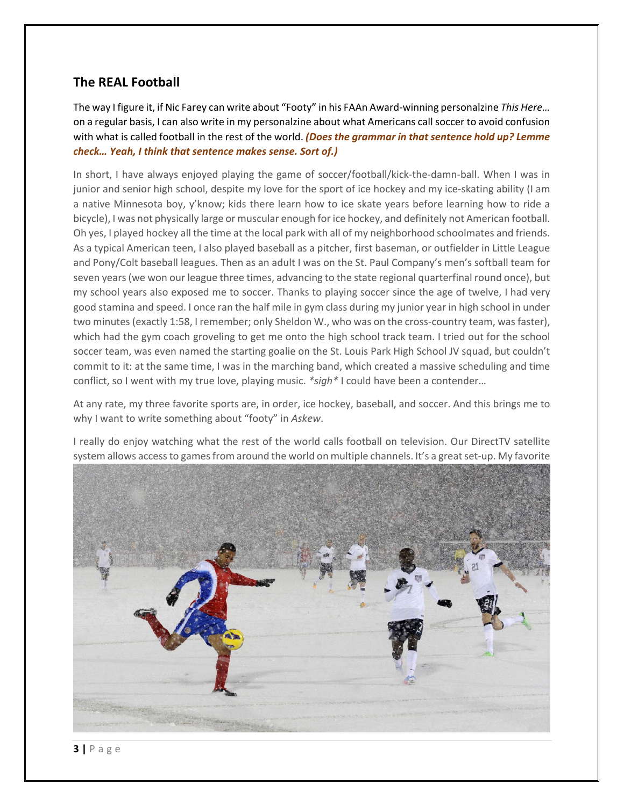# **The REAL Football**

The way I figure it, if Nic Farey can write about "Footy" in his FAAn Award-winning personalzine *This Here…* on a regular basis, I can also write in my personalzine about what Americans call soccer to avoid confusion with what is called football in the rest of the world. *(Does the grammar in that sentence hold up? Lemme check… Yeah, I think that sentence makes sense. Sort of.)*

In short, I have always enjoyed playing the game of soccer/football/kick-the-damn-ball. When I was in junior and senior high school, despite my love for the sport of ice hockey and my ice-skating ability (I am a native Minnesota boy, y'know; kids there learn how to ice skate years before learning how to ride a bicycle), I was not physically large or muscular enough for ice hockey, and definitely not American football. Oh yes, I played hockey all the time at the local park with all of my neighborhood schoolmates and friends. As a typical American teen, I also played baseball as a pitcher, first baseman, or outfielder in Little League and Pony/Colt baseball leagues. Then as an adult I was on the St. Paul Company's men's softball team for seven years (we won our league three times, advancing to the state regional quarterfinal round once), but my school years also exposed me to soccer. Thanks to playing soccer since the age of twelve, I had very good stamina and speed. I once ran the half mile in gym class during my junior year in high school in under two minutes (exactly 1:58, I remember; only Sheldon W., who was on the cross-country team, was faster), which had the gym coach groveling to get me onto the high school track team. I tried out for the school soccer team, was even named the starting goalie on the St. Louis Park High School JV squad, but couldn't commit to it: at the same time, I was in the marching band, which created a massive scheduling and time conflict, so I went with my true love, playing music. *\*sigh\** I could have been a contender…

At any rate, my three favorite sports are, in order, ice hockey, baseball, and soccer. And this brings me to why I want to write something about "footy" in *Askew*.

I really do enjoy watching what the rest of the world calls football on television. Our DirectTV satellite system allows access to games from around the world on multiple channels. It's a great set-up. My favorite

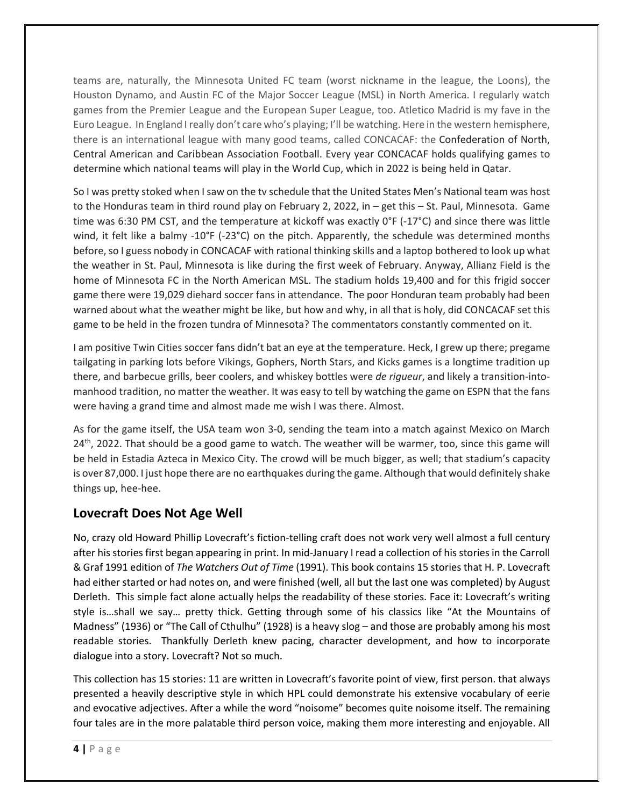teams are, naturally, the Minnesota United FC team (worst nickname in the league, the Loons), the Houston Dynamo, and Austin FC of the Major Soccer League (MSL) in North America. I regularly watch games from the Premier League and the European Super League, too. Atletico Madrid is my fave in the Euro League. In England I really don't care who's playing; I'll be watching. Here in the western hemisphere, there is an international league with many good teams, called CONCACAF: the Confederation of North, Central American and Caribbean Association Football. Every year CONCACAF holds qualifying games to determine which national teams will play in the World Cup, which in 2022 is being held in Qatar.

So I was pretty stoked when I saw on the tv schedule that the United States Men's National team was host to the Honduras team in third round play on February 2, 2022, in – get this – St. Paul, Minnesota. Game time was 6:30 PM CST, and the temperature at kickoff was exactly 0°F (-17°C) and since there was little wind, it felt like a balmy -10°F (-23°C) on the pitch. Apparently, the schedule was determined months before, so I guess nobody in CONCACAF with rational thinking skills and a laptop bothered to look up what the weather in St. Paul, Minnesota is like during the first week of February. Anyway, Allianz Field is the home of Minnesota FC in the North American MSL. The stadium holds 19,400 and for this frigid soccer game there were 19,029 diehard soccer fans in attendance. The poor Honduran team probably had been warned about what the weather might be like, but how and why, in all that is holy, did CONCACAF set this game to be held in the frozen tundra of Minnesota? The commentators constantly commented on it.

I am positive Twin Cities soccer fans didn't bat an eye at the temperature. Heck, I grew up there; pregame tailgating in parking lots before Vikings, Gophers, North Stars, and Kicks games is a longtime tradition up there, and barbecue grills, beer coolers, and whiskey bottles were *de rigueur*, and likely a transition-intomanhood tradition, no matter the weather. It was easy to tell by watching the game on ESPN that the fans were having a grand time and almost made me wish I was there. Almost.

As for the game itself, the USA team won 3-0, sending the team into a match against Mexico on March 24<sup>th</sup>, 2022. That should be a good game to watch. The weather will be warmer, too, since this game will be held in Estadia Azteca in Mexico City. The crowd will be much bigger, as well; that stadium's capacity is over 87,000. I just hope there are no earthquakes during the game. Although that would definitely shake things up, hee-hee.

# **Lovecraft Does Not Age Well**

No, crazy old Howard Phillip Lovecraft's fiction-telling craft does not work very well almost a full century after his stories first began appearing in print. In mid-January I read a collection of his stories in the Carroll & Graf 1991 edition of *The Watchers Out of Time* (1991). This book contains 15 stories that H. P. Lovecraft had either started or had notes on, and were finished (well, all but the last one was completed) by August Derleth. This simple fact alone actually helps the readability of these stories. Face it: Lovecraft's writing style is…shall we say… pretty thick. Getting through some of his classics like "At the Mountains of Madness" (1936) or "The Call of Cthulhu" (1928) is a heavy slog – and those are probably among his most readable stories. Thankfully Derleth knew pacing, character development, and how to incorporate dialogue into a story. Lovecraft? Not so much.

This collection has 15 stories: 11 are written in Lovecraft's favorite point of view, first person. that always presented a heavily descriptive style in which HPL could demonstrate his extensive vocabulary of eerie and evocative adjectives. After a while the word "noisome" becomes quite noisome itself. The remaining four tales are in the more palatable third person voice, making them more interesting and enjoyable. All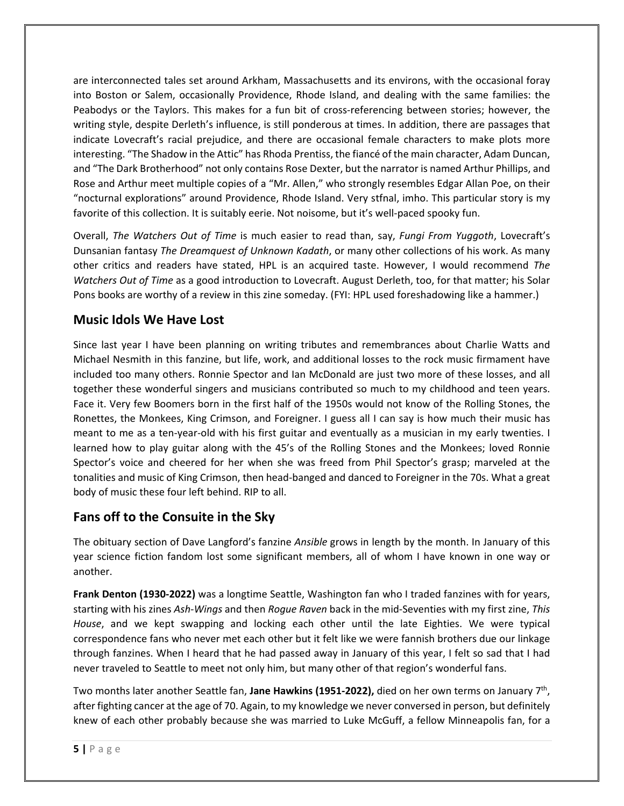are interconnected tales set around Arkham, Massachusetts and its environs, with the occasional foray into Boston or Salem, occasionally Providence, Rhode Island, and dealing with the same families: the Peabodys or the Taylors. This makes for a fun bit of cross-referencing between stories; however, the writing style, despite Derleth's influence, is still ponderous at times. In addition, there are passages that indicate Lovecraft's racial prejudice, and there are occasional female characters to make plots more interesting. "The Shadow in the Attic" has Rhoda Prentiss, the fiancé of the main character, Adam Duncan, and "The Dark Brotherhood" not only contains Rose Dexter, but the narrator is named Arthur Phillips, and Rose and Arthur meet multiple copies of a "Mr. Allen," who strongly resembles Edgar Allan Poe, on their "nocturnal explorations" around Providence, Rhode Island. Very stfnal, imho. This particular story is my favorite of this collection. It is suitably eerie. Not noisome, but it's well-paced spooky fun.

Overall, *The Watchers Out of Time* is much easier to read than, say, *Fungi From Yuggoth*, Lovecraft's Dunsanian fantasy *The Dreamquest of Unknown Kadath*, or many other collections of his work. As many other critics and readers have stated, HPL is an acquired taste. However, I would recommend *The Watchers Out of Time* as a good introduction to Lovecraft. August Derleth, too, for that matter; his Solar Pons books are worthy of a review in this zine someday. (FYI: HPL used foreshadowing like a hammer.)

## **Music Idols We Have Lost**

Since last year I have been planning on writing tributes and remembrances about Charlie Watts and Michael Nesmith in this fanzine, but life, work, and additional losses to the rock music firmament have included too many others. Ronnie Spector and Ian McDonald are just two more of these losses, and all together these wonderful singers and musicians contributed so much to my childhood and teen years. Face it. Very few Boomers born in the first half of the 1950s would not know of the Rolling Stones, the Ronettes, the Monkees, King Crimson, and Foreigner. I guess all I can say is how much their music has meant to me as a ten-year-old with his first guitar and eventually as a musician in my early twenties. I learned how to play guitar along with the 45's of the Rolling Stones and the Monkees; loved Ronnie Spector's voice and cheered for her when she was freed from Phil Spector's grasp; marveled at the tonalities and music of King Crimson, then head-banged and danced to Foreigner in the 70s. What a great body of music these four left behind. RIP to all.

# **Fans off to the Consuite in the Sky**

The obituary section of Dave Langford's fanzine *Ansible* grows in length by the month. In January of this year science fiction fandom lost some significant members, all of whom I have known in one way or another.

**Frank Denton (1930-2022)** was a longtime Seattle, Washington fan who I traded fanzines with for years, starting with his zines *Ash-Wings* and then *Rogue Raven* back in the mid-Seventies with my first zine, *This House*, and we kept swapping and locking each other until the late Eighties. We were typical correspondence fans who never met each other but it felt like we were fannish brothers due our linkage through fanzines. When I heard that he had passed away in January of this year, I felt so sad that I had never traveled to Seattle to meet not only him, but many other of that region's wonderful fans.

Two months later another Seattle fan, **Jane Hawkins (1951-2022),** died on her own terms on January 7th, after fighting cancer at the age of 70. Again, to my knowledge we never conversed in person, but definitely knew of each other probably because she was married to Luke McGuff, a fellow Minneapolis fan, for a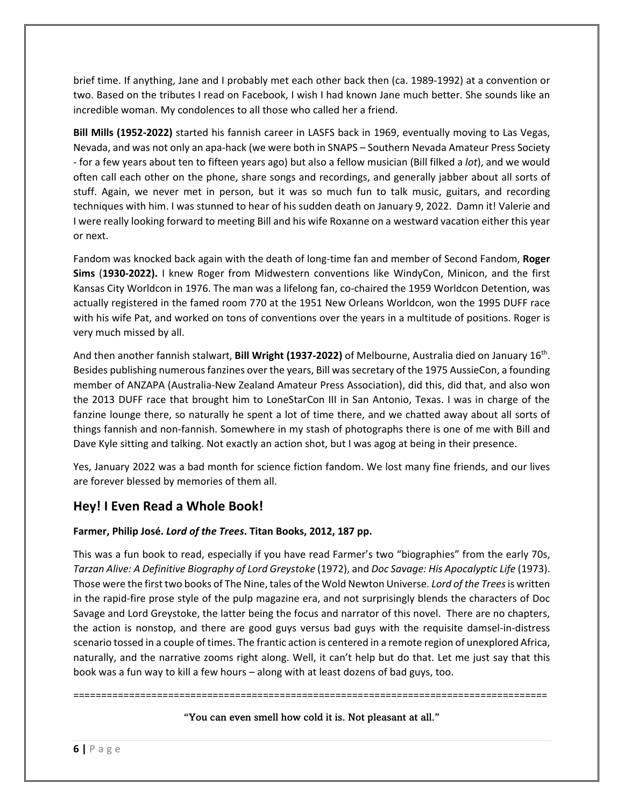brief time. If anything, Jane and I probably met each other back then (ca. 1989-1992) at a convention or two. Based on the tributes I read on Facebook, I wish I had known Jane much better. She sounds like an incredible woman. My condolences to all those who called her a friend.

**Bill Mills (1952-2022)** started his fannish career in LASFS back in 1969, eventually moving to Las Vegas, Nevada, and was not only an apa-hack (we were both in SNAPS – Southern Nevada Amateur Press Society - for a few years about ten to fifteen years ago) but also a fellow musician (Bill filked a *lot*), and we would often call each other on the phone, share songs and recordings, and generally jabber about all sorts of stuff. Again, we never met in person, but it was so much fun to talk music, guitars, and recording techniques with him. I was stunned to hear of his sudden death on January 9, 2022. Damn it! Valerie and I were really looking forward to meeting Bill and his wife Roxanne on a westward vacation either this year or next.

Fandom was knocked back again with the death of long-time fan and member of Second Fandom, **Roger Sims** (**1930-2022).** I knew Roger from Midwestern conventions like WindyCon, Minicon, and the first Kansas City Worldcon in 1976. The man was a lifelong fan, co-chaired the 1959 Worldcon Detention, was actually registered in the famed room 770 at the 1951 New Orleans Worldcon, won the 1995 DUFF race with his wife Pat, and worked on tons of conventions over the years in a multitude of positions. Roger is very much missed by all.

And then another fannish stalwart, **Bill Wright (1937-2022)** of Melbourne, Australia died on January 16th. Besides publishing numerous fanzines over the years, Bill was secretary of the 1975 AussieCon, a founding member of ANZAPA (Australia-New Zealand Amateur Press Association), did this, did that, and also won the 2013 DUFF race that brought him to LoneStarCon III in San Antonio, Texas. I was in charge of the fanzine lounge there, so naturally he spent a lot of time there, and we chatted away about all sorts of things fannish and non-fannish. Somewhere in my stash of photographs there is one of me with Bill and Dave Kyle sitting and talking. Not exactly an action shot, but I was agog at being in their presence.

Yes, January 2022 was a bad month for science fiction fandom. We lost many fine friends, and our lives are forever blessed by memories of them all.

# **Hey! I Even Read a Whole Book!**

#### **Farmer, Philip José.** *Lord of the Trees***. Titan Books, 2012, 187 pp.**

This was a fun book to read, especially if you have read Farmer's two "biographies" from the early 70s, *Tarzan Alive: A Definitive Biography of Lord Greystoke* (1972), and *Doc Savage: His Apocalyptic Life* (1973). Those were the first two books of The Nine, tales of the Wold Newton Universe. *Lord of the Trees*is written in the rapid-fire prose style of the pulp magazine era, and not surprisingly blends the characters of Doc Savage and Lord Greystoke, the latter being the focus and narrator of this novel. There are no chapters, the action is nonstop, and there are good guys versus bad guys with the requisite damsel-in-distress scenario tossed in a couple of times. The frantic action is centered in a remote region of unexplored Africa, naturally, and the narrative zooms right along. Well, it can't help but do that. Let me just say that this book was a fun way to kill a few hours – along with at least dozens of bad guys, too.

"You can even smell how cold it is. Not pleasant at all."

=====================================================================================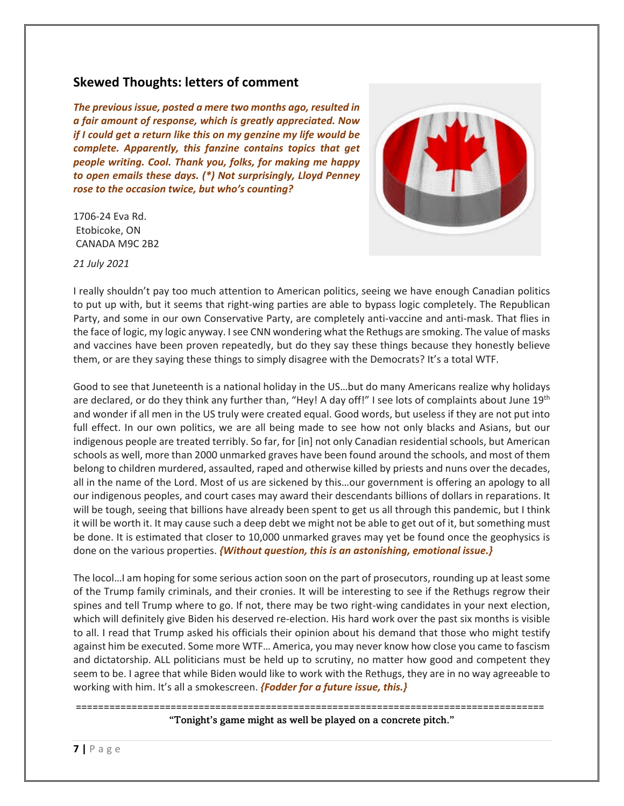## **Skewed Thoughts: letters of comment**

*The previous issue, posted a mere two months ago, resulted in a fair amount of response, which is greatly appreciated. Now if I could get a return like this on my genzine my life would be complete. Apparently, this fanzine contains topics that get people writing. Cool. Thank you, folks, for making me happy to open emails these days. (\*) Not surprisingly, Lloyd Penney rose to the occasion twice, but who's counting?*

1706-24 Eva Rd. Etobicoke, ON CANADA M9C 2B2



*21 July 2021*

I really shouldn't pay too much attention to American politics, seeing we have enough Canadian politics to put up with, but it seems that right-wing parties are able to bypass logic completely. The Republican Party, and some in our own Conservative Party, are completely anti-vaccine and anti-mask. That flies in the face of logic, my logic anyway. I see CNN wondering what the Rethugs are smoking. The value of masks and vaccines have been proven repeatedly, but do they say these things because they honestly believe them, or are they saying these things to simply disagree with the Democrats? It's a total WTF.

Good to see that Juneteenth is a national holiday in the US…but do many Americans realize why holidays are declared, or do they think any further than, "Hey! A day off!" I see lots of complaints about June 19<sup>th</sup> and wonder if all men in the US truly were created equal. Good words, but useless if they are not put into full effect. In our own politics, we are all being made to see how not only blacks and Asians, but our indigenous people are treated terribly. So far, for [in] not only Canadian residential schools, but American schools as well, more than 2000 unmarked graves have been found around the schools, and most of them belong to children murdered, assaulted, raped and otherwise killed by priests and nuns over the decades, all in the name of the Lord. Most of us are sickened by this…our government is offering an apology to all our indigenous peoples, and court cases may award their descendants billions of dollars in reparations. It will be tough, seeing that billions have already been spent to get us all through this pandemic, but I think it will be worth it. It may cause such a deep debt we might not be able to get out of it, but something must be done. It is estimated that closer to 10,000 unmarked graves may yet be found once the geophysics is done on the various properties. *{Without question, this is an astonishing, emotional issue.}*

The locol…I am hoping for some serious action soon on the part of prosecutors, rounding up at least some of the Trump family criminals, and their cronies. It will be interesting to see if the Rethugs regrow their spines and tell Trump where to go. If not, there may be two right-wing candidates in your next election, which will definitely give Biden his deserved re-election. His hard work over the past six months is visible to all. I read that Trump asked his officials their opinion about his demand that those who might testify against him be executed. Some more WTF… America, you may never know how close you came to fascism and dictatorship. ALL politicians must be held up to scrutiny, no matter how good and competent they seem to be. I agree that while Biden would like to work with the Rethugs, they are in no way agreeable to working with him. It's all a smokescreen. *{Fodder for a future issue, this.}*

> ==================================================================================== "Tonight's game might as well be played on a concrete pitch."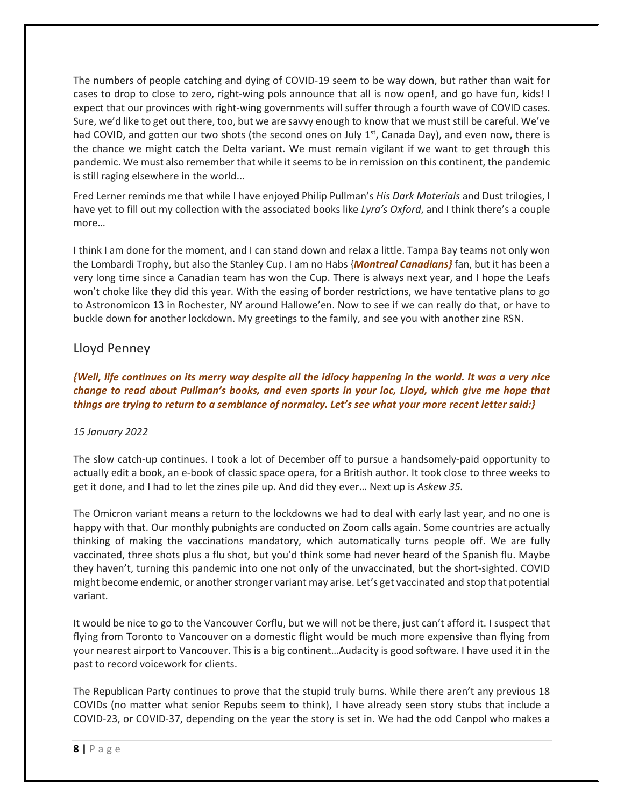The numbers of people catching and dying of COVID-19 seem to be way down, but rather than wait for cases to drop to close to zero, right-wing pols announce that all is now open!, and go have fun, kids! I expect that our provinces with right-wing governments will suffer through a fourth wave of COVID cases. Sure, we'd like to get out there, too, but we are savvy enough to know that we must still be careful. We've had COVID, and gotten our two shots (the second ones on July  $1<sup>st</sup>$ , Canada Day), and even now, there is the chance we might catch the Delta variant. We must remain vigilant if we want to get through this pandemic. We must also remember that while it seems to be in remission on this continent, the pandemic is still raging elsewhere in the world...

Fred Lerner reminds me that while I have enjoyed Philip Pullman's *His Dark Materials* and Dust trilogies, I have yet to fill out my collection with the associated books like *Lyra's Oxford*, and I think there's a couple more…

I think I am done for the moment, and I can stand down and relax a little. Tampa Bay teams not only won the Lombardi Trophy, but also the Stanley Cup. I am no Habs {*Montreal Canadians}* fan, but it has been a very long time since a Canadian team has won the Cup. There is always next year, and I hope the Leafs won't choke like they did this year. With the easing of border restrictions, we have tentative plans to go to Astronomicon 13 in Rochester, NY around Hallowe'en. Now to see if we can really do that, or have to buckle down for another lockdown. My greetings to the family, and see you with another zine RSN.

### Lloyd Penney

*{Well, life continues on its merry way despite all the idiocy happening in the world. It was a very nice change to read about Pullman's books, and even sports in your loc, Lloyd, which give me hope that things are trying to return to a semblance of normalcy. Let's see what your more recent letter said:}*

#### *15 January 2022*

The slow catch-up continues. I took a lot of December off to pursue a handsomely-paid opportunity to actually edit a book, an e-book of classic space opera, for a British author. It took close to three weeks to get it done, and I had to let the zines pile up. And did they ever… Next up is *Askew 35.*

The Omicron variant means a return to the lockdowns we had to deal with early last year, and no one is happy with that. Our monthly pubnights are conducted on Zoom calls again. Some countries are actually thinking of making the vaccinations mandatory, which automatically turns people off. We are fully vaccinated, three shots plus a flu shot, but you'd think some had never heard of the Spanish flu. Maybe they haven't, turning this pandemic into one not only of the unvaccinated, but the short-sighted. COVID might become endemic, or another stronger variant may arise. Let's get vaccinated and stop that potential variant.

It would be nice to go to the Vancouver Corflu, but we will not be there, just can't afford it. I suspect that flying from Toronto to Vancouver on a domestic flight would be much more expensive than flying from your nearest airport to Vancouver. This is a big continent…Audacity is good software. I have used it in the past to record voicework for clients.

The Republican Party continues to prove that the stupid truly burns. While there aren't any previous 18 COVIDs (no matter what senior Repubs seem to think), I have already seen story stubs that include a COVID-23, or COVID-37, depending on the year the story is set in. We had the odd Canpol who makes a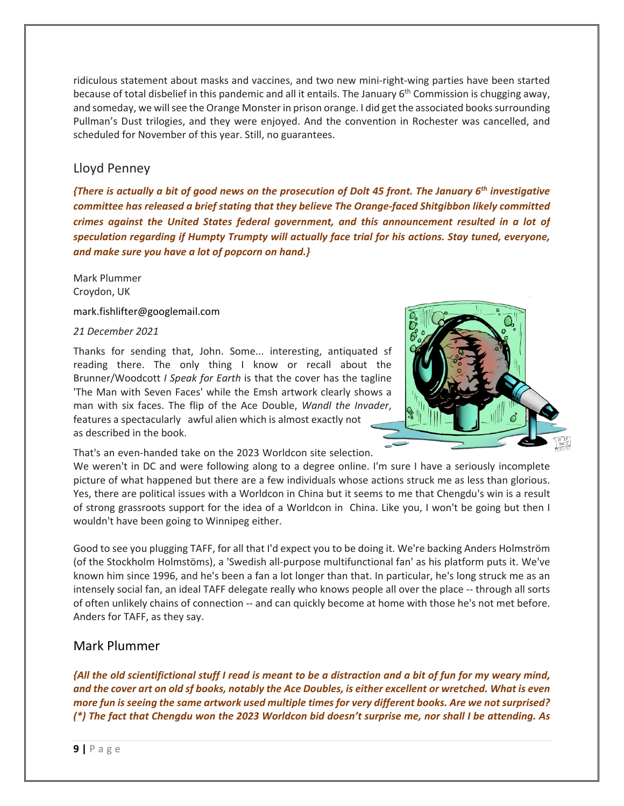ridiculous statement about masks and vaccines, and two new mini-right-wing parties have been started because of total disbelief in this pandemic and all it entails. The January 6<sup>th</sup> Commission is chugging away, and someday, we will see the Orange Monster in prison orange. I did get the associated books surrounding Pullman's Dust trilogies, and they were enjoyed. And the convention in Rochester was cancelled, and scheduled for November of this year. Still, no guarantees.

#### Lloyd Penney

*{There is actually a bit of good news on the prosecution of Dolt 45 front. The January 6th investigative committee has released a brief stating that they believe The Orange-faced Shitgibbon likely committed crimes against the United States federal government, and this announcement resulted in a lot of speculation regarding if Humpty Trumpty will actually face trial for his actions. Stay tuned, everyone, and make sure you have a lot of popcorn on hand.}*

Mark Plummer Croydon, UK

mark.fishlifter@googlemail.com

*21 December 2021*

Thanks for sending that, John. Some... interesting, antiquated sf reading there. The only thing I know or recall about the Brunner/Woodcott *I Speak for Earth* is that the cover has the tagline 'The Man with Seven Faces' while the Emsh artwork clearly shows a man with six faces. The flip of the Ace Double, *Wandl the Invader*, features a spectacularly awful alien which is almost exactly not as described in the book.

That's an even-handed take on the 2023 Worldcon site selection.



We weren't in DC and were following along to a degree online. I'm sure I have a seriously incomplete picture of what happened but there are a few individuals whose actions struck me as less than glorious. Yes, there are political issues with a Worldcon in China but it seems to me that Chengdu's win is a result of strong grassroots support for the idea of a Worldcon in China. Like you, I won't be going but then I wouldn't have been going to Winnipeg either.

Good to see you plugging TAFF, for all that I'd expect you to be doing it. We're backing Anders Holmström (of the Stockholm Holmstöms), a 'Swedish all-purpose multifunctional fan' as his platform puts it. We've known him since 1996, and he's been a fan a lot longer than that. In particular, he's long struck me as an intensely social fan, an ideal TAFF delegate really who knows people all over the place -- through all sorts of often unlikely chains of connection -- and can quickly become at home with those he's not met before. Anders for TAFF, as they say.

#### Mark Plummer

*{All the old scientifictional stuff I read is meant to be a distraction and a bit of fun for my weary mind, and the cover art on old sf books, notably the Ace Doubles, is either excellent or wretched. What is even more fun is seeing the same artwork used multiple times for very different books. Are we not surprised? (\*) The fact that Chengdu won the 2023 Worldcon bid doesn't surprise me, nor shall I be attending. As*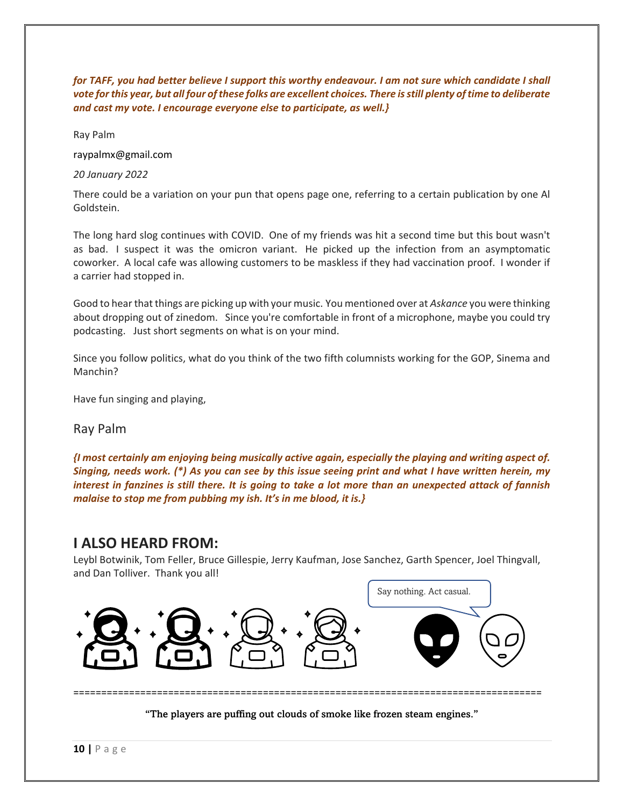*for TAFF, you had better believe I support this worthy endeavour. I am not sure which candidate I shall vote forthis year, but all four of these folks are excellent choices. There is still plenty of time to deliberate and cast my vote. I encourage everyone else to participate, as well.}*

Ray Palm

raypalmx@gmail.com

*20 January 2022*

There could be a variation on your pun that opens page one, referring to a certain publication by one Al Goldstein.

The long hard slog continues with COVID. One of my friends was hit a second time but this bout wasn't as bad. I suspect it was the omicron variant. He picked up the infection from an asymptomatic coworker. A local cafe was allowing customers to be maskless if they had vaccination proof. I wonder if a carrier had stopped in.

Good to hear that things are picking up with your music. You mentioned over at *Askance* you were thinking about dropping out of zinedom. Since you're comfortable in front of a microphone, maybe you could try podcasting. Just short segments on what is on your mind.

Since you follow politics, what do you think of the two fifth columnists working for the GOP, Sinema and Manchin?

Have fun singing and playing,

#### Ray Palm

*{I most certainly am enjoying being musically active again, especially the playing and writing aspect of. Singing, needs work. (\*) As you can see by this issue seeing print and what I have written herein, my interest in fanzines is still there. It is going to take a lot more than an unexpected attack of fannish malaise to stop me from pubbing my ish. It's in me blood, it is.}*

### **I ALSO HEARD FROM:**

Leybl Botwinik, Tom Feller, Bruce Gillespie, Jerry Kaufman, Jose Sanchez, Garth Spencer, Joel Thingvall, and Dan Tolliver. Thank you all!



"The players are puffing out clouds of smoke like frozen steam engines."

====================================================================================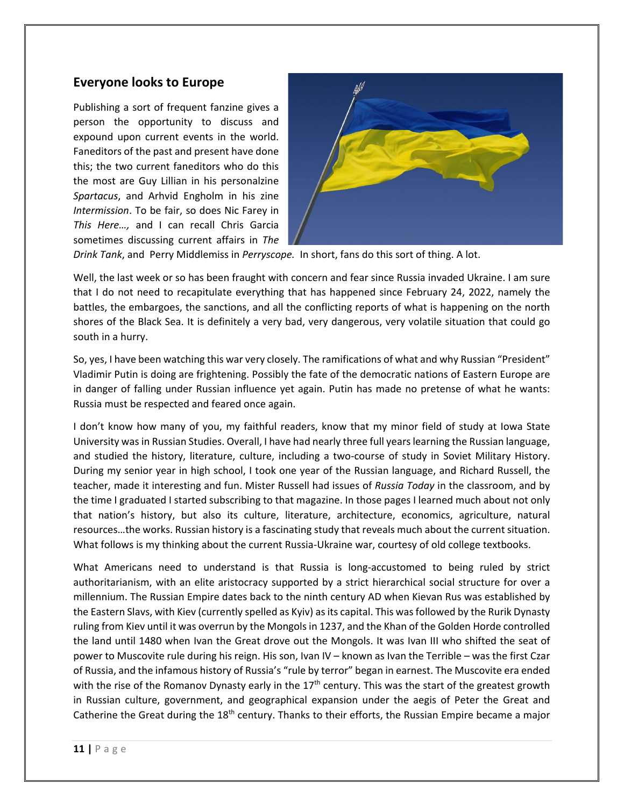### **Everyone looks to Europe**

Publishing a sort of frequent fanzine gives a person the opportunity to discuss and expound upon current events in the world. Faneditors of the past and present have done this; the two current faneditors who do this the most are Guy Lillian in his personalzine *Spartacus*, and Arhvid Engholm in his zine *Intermission*. To be fair, so does Nic Farey in *This Here…,* and I can recall Chris Garcia sometimes discussing current affairs in *The* 



*Drink Tank*, and Perry Middlemiss in *Perryscope.* In short, fans do this sort of thing. A lot.

Well, the last week or so has been fraught with concern and fear since Russia invaded Ukraine. I am sure that I do not need to recapitulate everything that has happened since February 24, 2022, namely the battles, the embargoes, the sanctions, and all the conflicting reports of what is happening on the north shores of the Black Sea. It is definitely a very bad, very dangerous, very volatile situation that could go south in a hurry.

So, yes, I have been watching this war very closely. The ramifications of what and why Russian "President" Vladimir Putin is doing are frightening. Possibly the fate of the democratic nations of Eastern Europe are in danger of falling under Russian influence yet again. Putin has made no pretense of what he wants: Russia must be respected and feared once again.

I don't know how many of you, my faithful readers, know that my minor field of study at Iowa State University was in Russian Studies. Overall, I have had nearly three full years learning the Russian language, and studied the history, literature, culture, including a two-course of study in Soviet Military History. During my senior year in high school, I took one year of the Russian language, and Richard Russell, the teacher, made it interesting and fun. Mister Russell had issues of *Russia Today* in the classroom, and by the time I graduated I started subscribing to that magazine. In those pages I learned much about not only that nation's history, but also its culture, literature, architecture, economics, agriculture, natural resources…the works. Russian history is a fascinating study that reveals much about the current situation. What follows is my thinking about the current Russia-Ukraine war, courtesy of old college textbooks.

What Americans need to understand is that Russia is long-accustomed to being ruled by strict authoritarianism, with an elite aristocracy supported by a strict hierarchical social structure for over a millennium. The Russian Empire dates back to the ninth century AD when Kievan Rus was established by the Eastern Slavs, with Kiev (currently spelled as Kyiv) as its capital. This was followed by the Rurik Dynasty ruling from Kiev until it was overrun by the Mongols in 1237, and the Khan of the Golden Horde controlled the land until 1480 when Ivan the Great drove out the Mongols. It was Ivan III who shifted the seat of power to Muscovite rule during his reign. His son, Ivan IV – known as Ivan the Terrible – was the first Czar of Russia, and the infamous history of Russia's "rule by terror" began in earnest. The Muscovite era ended with the rise of the Romanov Dynasty early in the  $17<sup>th</sup>$  century. This was the start of the greatest growth in Russian culture, government, and geographical expansion under the aegis of Peter the Great and Catherine the Great during the  $18<sup>th</sup>$  century. Thanks to their efforts, the Russian Empire became a major